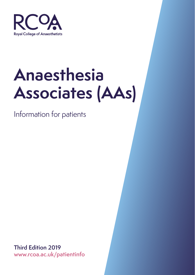

# **Anaesthesia Associates (AAs)**

Information for patients

**Third Edition 2019 www.rcoa.ac.uk/patientinfo**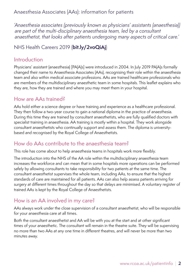Anaesthesia Associates (AAs): information for patients

*'Anaesthesia associates (previously known as physicians' assistants (anaesthesia)) are part of the multi-disciplinary anaesthesia team, led by a consultant anaesthetist, that looks after patients undergoing many aspects of critical care.'*

## NHS Health Careers 2019 (**bit.ly/2voQiAj**)

#### Introduction

Physicians' assistant (anaesthesia) [PA(A)s] were introduced in 2004. In July 2019 PA(A)s formally changed their name to Anaesthesia Associates (AAs), recognising their role within the anaesthesia team and also within medical associate professions. AAs are trained healthcare professionals who are members of the multidisciplinary anaesthetic team in some hospitals. This leaflet explains who they are, how they are trained and where you may meet them in your hospital.

#### How are AAs trained?

AAs hold either a science degree or have training and experience as a healthcare professional. They then follow a two-year course to gain a national diploma in the practice of anaesthesia. During this time they are trained by consultant anaesthetists, who are fully qualified doctors with specialist training in anaesthesia. AA training is mostly within a hospital. They work alongside consultant anaesthetists who continually support and assess them. The diploma is universitybased and recognised by the Royal College of Anaesthetists.

## How do AAs contribute to the anaesthesia team?

This role has come about to help anaesthesia teams in hospitals work more flexibly.

The introduction into the NHS of the AA role within the multidisciplinary anaesthesia team increases the workforce and can mean that in some hospitals more operations can be performed safely by allowing consultants to take responsibility for two patients at the same time. The consultant anaesthetist supervises the whole team, including AAs, to ensure that the highest standards of care are maintained for all patients. AAs can also help assess patients arriving for surgery at different times throughout the day so that delays are minimised. A voluntary register of trained AAs is kept by the Royal College of Anaesthetists.

## How is an AA involved in my care?

AAs always work under the close supervision of a consultant anaesthetist, who will be responsible for your anaesthesia care at all times.

Both the consultant anaesthetist and AA will be with you at the start and at other significant times of your anaesthetic. The consultant will remain in the theatre suite. They will be supervising no more than two AAs at any one time in different theatres, and will never be more than two minutes away.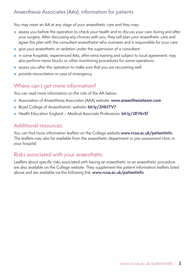#### Anaesthesia Associates (AAs): information for patients

You may meet an AA at any stage of your anaesthetic care and they may:

- assess you before the operation to check your health and to discuss your care during and after your surgery. After discussing any choices with you, they will plan your anaesthetic care and agree this plan with the consultant anaesthetist who oversees and is responsible for your care
- give your anaesthetic or sedation under the supervision of a consultant
- in some hospitals, experienced AAs, after extra training and subiect to local agreement, may also perform nerve blocks or other monitoring procedures for some operations
- assess you after the operation to make sure that you are recovering well
- provide resuscitation in case of emergency.

## Where can I get more information?

You can read more information on the role of the AA below:

- Association of Anaesthesia Associates (AAA) website: **www.anaesthesiateam.com**
- Royal College of Anaesthetists' website: **bit.ly/2Hb1TV7**
- Health Education England Medical Associate Professions: **bit.ly/2EVbrSf**

## Additional resources

You can find more information leaflets on the College website **www.rcoa.ac.uk/patientinfo**. The leaflets may also be available from the anaesthetic department or pre-assessment clinic in your hospital.

#### Risks associated with your anaesthetic

Leaflets about specific risks associated with having an anaesthetic or an anaesthetic procedure are also available on the College website. They supplement the patient information leaflets listed above and are available via the following link: **www.rcoa.ac.uk/patientinfo**